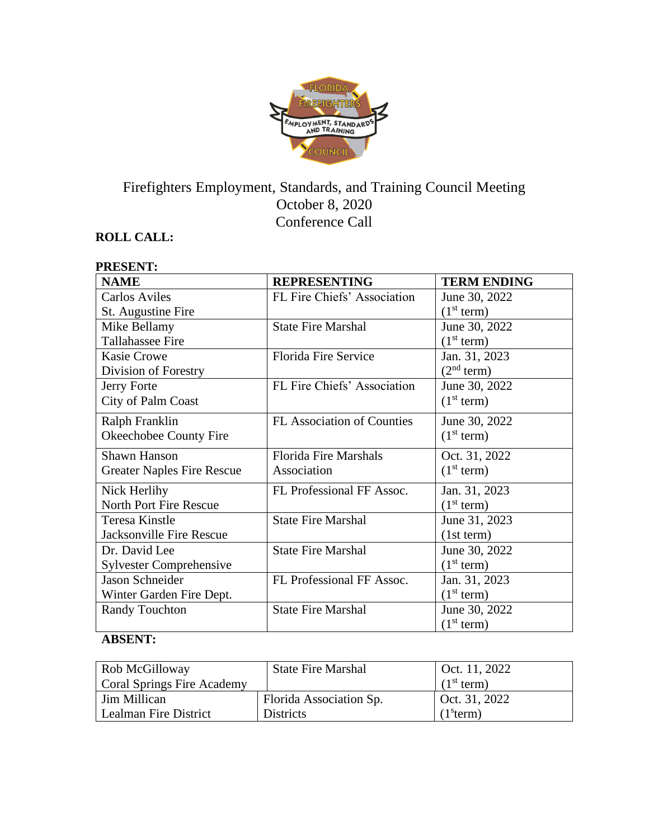

# Firefighters Employment, Standards, and Training Council Meeting October 8, 2020 Conference Call

## **ROLL CALL:**

#### **PRESENT: NAME REPRESENTING TERM ENDING** Carlos Aviles St. Augustine Fire FL Fire Chiefs' Association June 30, 2022  $(1<sup>st</sup> term)$ Mike Bellamy Tallahassee Fire State Fire Marshal June 30, 2022  $(1<sup>st</sup> term)$ Kasie Crowe Division of Forestry Florida Fire Service Jan. 31, 2023  $(2<sup>nd</sup> term)$ Jerry Forte City of Palm Coast FL Fire Chiefs' Association June 30, 2022  $(1<sup>st</sup> term)$ Ralph Franklin Okeechobee County Fire FL Association of Counties June 30, 2022  $(1<sup>st</sup> term)$ Shawn Hanson Greater Naples Fire Rescue Florida Fire Marshals Association Oct. 31, 2022  $(1<sup>st</sup> term)$ Nick Herlihy North Port Fire Rescue FL Professional FF Assoc. Jan. 31, 2023  $(1<sup>st</sup> term)$ Teresa Kinstle Jacksonville Fire Rescue State Fire Marshal June 31, 2023 (1st term) Dr. David Lee Sylvester Comprehensive State Fire Marshal June 30, 2022  $\frac{(1^{st} \text{ term})}{\text{Jan. } 31, 2023}$ Jason Schneider Winter Garden Fire Dept. FL Professional FF Assoc.  $(1<sup>st</sup> term)$ Randy Touchton State Fire Marshal June 30, 2022  $(1<sup>st</sup> term)$

#### **ABSENT:**

| Rob McGilloway             | <b>State Fire Marshal</b> | Oct. 11, 2022          |
|----------------------------|---------------------------|------------------------|
| Coral Springs Fire Academy |                           | (1 <sup>st</sup> term) |
| Jim Millican               | Florida Association Sp.   | $\perp$ Oct. 31, 2022  |
| Lealman Fire District      | <b>Districts</b>          | (1 <sup>s</sup> term)  |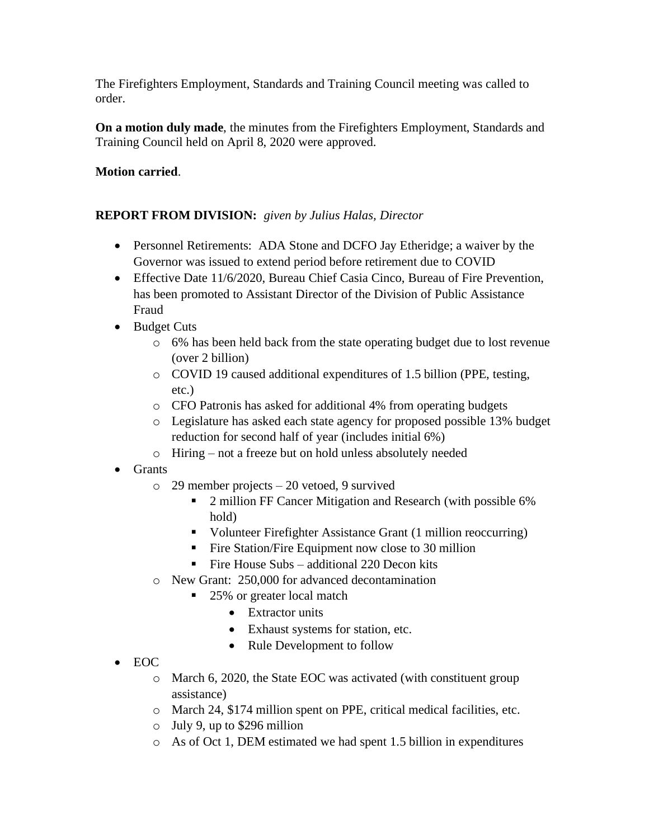The Firefighters Employment, Standards and Training Council meeting was called to order.

**On a motion duly made**, the minutes from the Firefighters Employment, Standards and Training Council held on April 8, 2020 were approved.

## **Motion carried**.

## **REPORT FROM DIVISION:** *given by Julius Halas, Director*

- Personnel Retirements: ADA Stone and DCFO Jay Etheridge; a waiver by the Governor was issued to extend period before retirement due to COVID
- Effective Date 11/6/2020, Bureau Chief Casia Cinco, Bureau of Fire Prevention, has been promoted to Assistant Director of the Division of Public Assistance Fraud
- Budget Cuts
	- o 6% has been held back from the state operating budget due to lost revenue (over 2 billion)
	- o COVID 19 caused additional expenditures of 1.5 billion (PPE, testing, etc.)
	- o CFO Patronis has asked for additional 4% from operating budgets
	- o Legislature has asked each state agency for proposed possible 13% budget reduction for second half of year (includes initial 6%)
	- o Hiring not a freeze but on hold unless absolutely needed
- Grants
	- o 29 member projects 20 vetoed, 9 survived
		- 2 million FF Cancer Mitigation and Research (with possible 6%) hold)
		- Volunteer Firefighter Assistance Grant (1 million reoccurring)
		- Fire Station/Fire Equipment now close to 30 million
		- **•** Fire House Subs additional 220 Decon kits
	- o New Grant: 250,000 for advanced decontamination
		- 25% or greater local match
			- Extractor units
			- Exhaust systems for station, etc.
			- Rule Development to follow
- EOC
	- o March 6, 2020, the State EOC was activated (with constituent group assistance)
	- o March 24, \$174 million spent on PPE, critical medical facilities, etc.
	- o July 9, up to \$296 million
	- o As of Oct 1, DEM estimated we had spent 1.5 billion in expenditures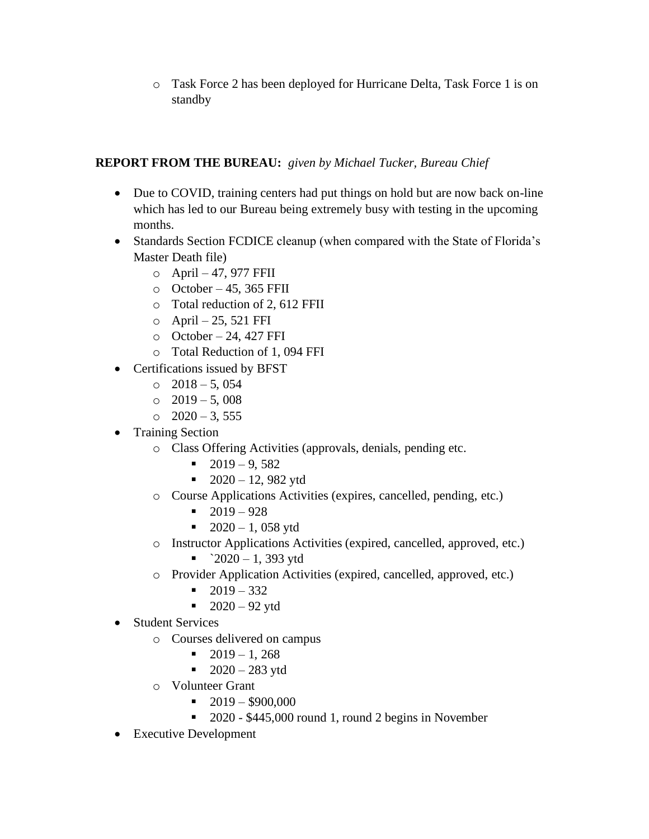o Task Force 2 has been deployed for Hurricane Delta, Task Force 1 is on standby

## **REPORT FROM THE BUREAU:** *given by Michael Tucker, Bureau Chief*

- Due to COVID, training centers had put things on hold but are now back on-line which has led to our Bureau being extremely busy with testing in the upcoming months.
- Standards Section FCDICE cleanup (when compared with the State of Florida's Master Death file)
	- o April 47, 977 FFII
	- $\circ$  October 45, 365 FFII
	- o Total reduction of 2, 612 FFII
	- o April 25, 521 FFI
	- $\circ$  October 24, 427 FFI
	- o Total Reduction of 1, 094 FFI
- Certifications issued by BFST
	- $\circ$  2018 5, 054
	- $\circ$  2019 5,008
	- $\circ$  2020 3, 555
- Training Section
	- o Class Offering Activities (approvals, denials, pending etc.
		- $\blacksquare$  2019 9, 582
		- $\blacksquare$  2020 12, 982 ytd
	- o Course Applications Activities (expires, cancelled, pending, etc.)
		- $-2019 928$
		- $\blacksquare$  2020 1, 058 ytd
	- o Instructor Applications Activities (expired, cancelled, approved, etc.)
		- $\blacksquare$   $2020 1$ , 393 ytd
	- o Provider Application Activities (expired, cancelled, approved, etc.)
		- $\blacksquare$  2019 332
		- $\blacksquare$  2020 92 ytd
- Student Services
	- o Courses delivered on campus
		- $\blacksquare$  2019 1, 268
		- $\blacksquare$  2020 283 ytd
	- o Volunteer Grant
		- $\blacksquare$  2019 \$900,000
		- 2020 \$445,000 round 1, round 2 begins in November
- Executive Development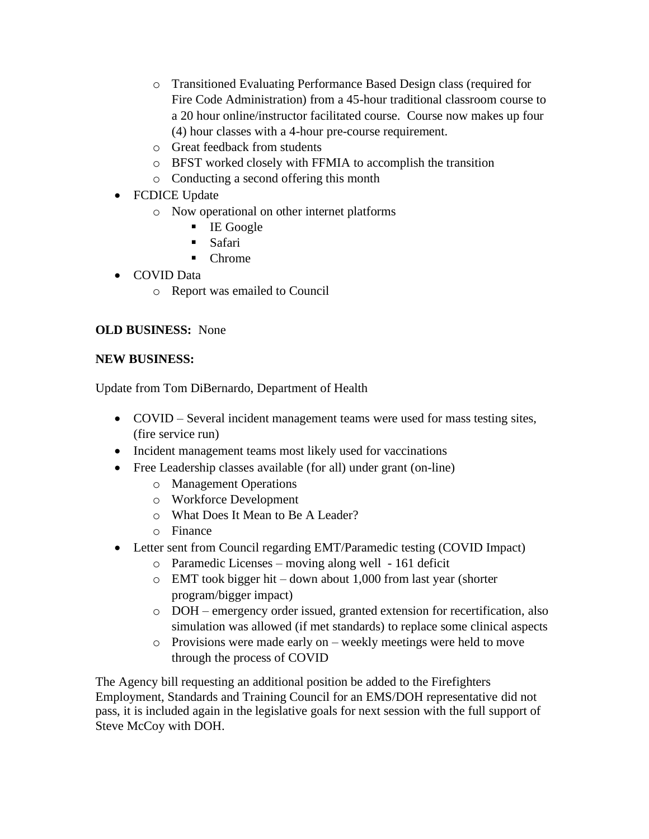- o Transitioned Evaluating Performance Based Design class (required for Fire Code Administration) from a 45-hour traditional classroom course to a 20 hour online/instructor facilitated course. Course now makes up four (4) hour classes with a 4-hour pre-course requirement.
- o Great feedback from students
- o BFST worked closely with FFMIA to accomplish the transition
- o Conducting a second offering this month
- FCDICE Update
	- o Now operational on other internet platforms
		- IE Google
		- Safari
		- Chrome
- COVID Data
	- o Report was emailed to Council

## **OLD BUSINESS:** None

## **NEW BUSINESS:**

Update from Tom DiBernardo, Department of Health

- COVID Several incident management teams were used for mass testing sites, (fire service run)
- Incident management teams most likely used for vaccinations
- Free Leadership classes available (for all) under grant (on-line)
	- o Management Operations
	- o Workforce Development
	- o What Does It Mean to Be A Leader?
	- o Finance
- Letter sent from Council regarding EMT/Paramedic testing (COVID Impact)
	- o Paramedic Licenses moving along well 161 deficit
	- o EMT took bigger hit down about 1,000 from last year (shorter program/bigger impact)
	- o DOH emergency order issued, granted extension for recertification, also simulation was allowed (if met standards) to replace some clinical aspects
	- o Provisions were made early on weekly meetings were held to move through the process of COVID

The Agency bill requesting an additional position be added to the Firefighters Employment, Standards and Training Council for an EMS/DOH representative did not pass, it is included again in the legislative goals for next session with the full support of Steve McCoy with DOH.